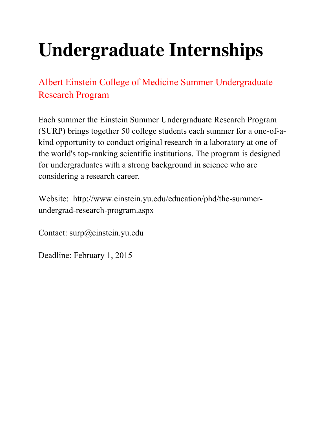# **Undergraduate Internships**

Albert Einstein College of Medicine Summer Undergraduate Research Program

Each summer the Einstein Summer Undergraduate Research Program (SURP) brings together 50 college students each summer for a one-of-akind opportunity to conduct original research in a laboratory at one of the world's top-ranking scientific institutions. The program is designed for undergraduates with a strong background in science who are considering a research career.

Website: http://www.einstein.yu.edu/education/phd/the-summerundergrad-research-program.aspx

Contact: surp@einstein.yu.edu

Deadline: February 1, 2015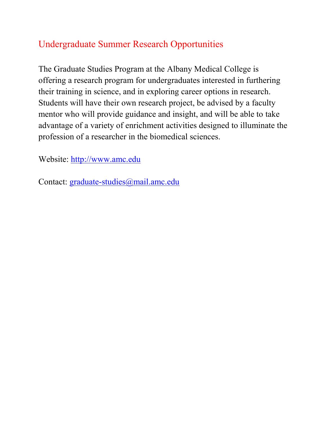### Undergraduate Summer Research Opportunities

The Graduate Studies Program at the Albany Medical College is offering a research program for undergraduates interested in furthering their training in science, and in exploring career options in research. Students will have their own research project, be advised by a faculty mentor who will provide guidance and insight, and will be able to take advantage of a variety of enrichment activities designed to illuminate the profession of a researcher in the biomedical sciences.

Website: http://www.amc.edu

Contact: graduate-studies@mail.amc.edu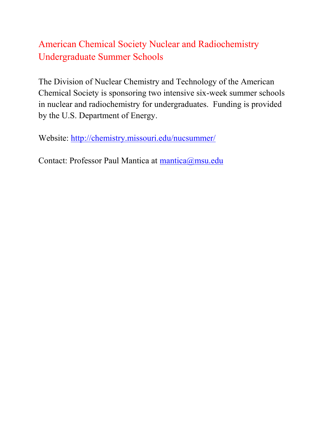## American Chemical Society Nuclear and Radiochemistry Undergraduate Summer Schools

The Division of Nuclear Chemistry and Technology of the American Chemical Society is sponsoring two intensive six-week summer schools in nuclear and radiochemistry for undergraduates. Funding is provided by the U.S. Department of Energy.

Website: http://chemistry.missouri.edu/nucsummer/

Contact: Professor Paul Mantica at mantica@msu.edu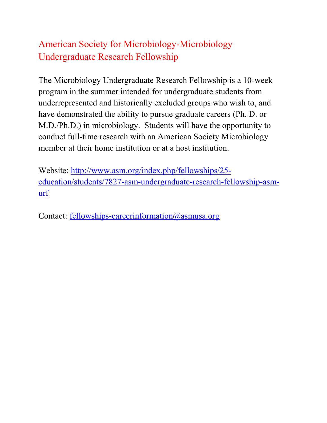## American Society for Microbiology-Microbiology Undergraduate Research Fellowship

The Microbiology Undergraduate Research Fellowship is a 10-week program in the summer intended for undergraduate students from underrepresented and historically excluded groups who wish to, and have demonstrated the ability to pursue graduate careers (Ph. D. or M.D./Ph.D.) in microbiology. Students will have the opportunity to conduct full-time research with an American Society Microbiology member at their home institution or at a host institution.

Website: http://www.asm.org/index.php/fellowships/25 education/students/7827-asm-undergraduate-research-fellowship-asmurf

Contact: fellowships-careerinformation@asmusa.org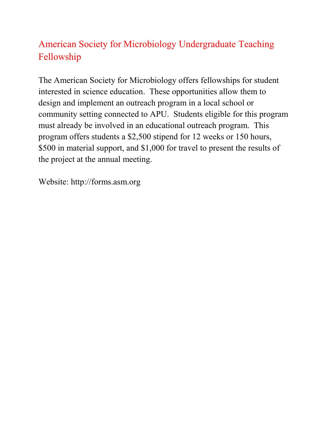## American Society for Microbiology Undergraduate Teaching Fellowship

The American Society for Microbiology offers fellowships for student interested in science education. These opportunities allow them to design and implement an outreach program in a local school or community setting connected to APU. Students eligible for this program must already be involved in an educational outreach program. This program offers students a \$2,500 stipend for 12 weeks or 150 hours, \$500 in material support, and \$1,000 for travel to present the results of the project at the annual meeting.

Website: http://forms.asm.org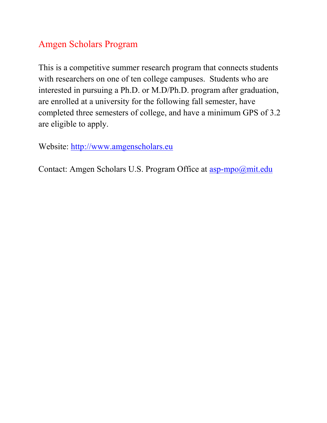#### Amgen Scholars Program

This is a competitive summer research program that connects students with researchers on one of ten college campuses. Students who are interested in pursuing a Ph.D. or M.D/Ph.D. program after graduation, are enrolled at a university for the following fall semester, have completed three semesters of college, and have a minimum GPS of 3.2 are eligible to apply.

Website: http://www.amgenscholars.eu

Contact: Amgen Scholars U.S. Program Office at asp-mpo@mit.edu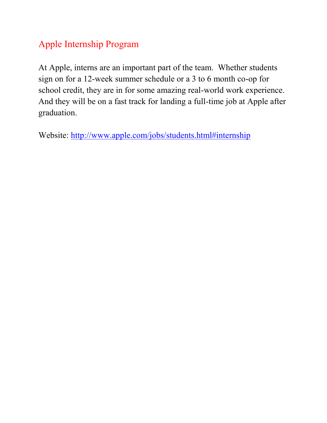## Apple Internship Program

At Apple, interns are an important part of the team. Whether students sign on for a 12-week summer schedule or a 3 to 6 month co-op for school credit, they are in for some amazing real-world work experience. And they will be on a fast track for landing a full-time job at Apple after graduation.

Website: http://www.apple.com/jobs/students.html#internship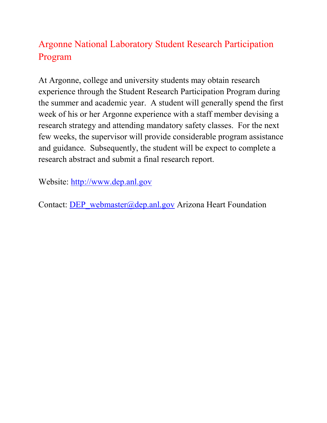## Argonne National Laboratory Student Research Participation Program

At Argonne, college and university students may obtain research experience through the Student Research Participation Program during the summer and academic year. A student will generally spend the first week of his or her Argonne experience with a staff member devising a research strategy and attending mandatory safety classes. For the next few weeks, the supervisor will provide considerable program assistance and guidance. Subsequently, the student will be expect to complete a research abstract and submit a final research report.

Website: http://www.dep.anl.gov

Contact: DEP\_webmaster@dep.anl.gov Arizona Heart Foundation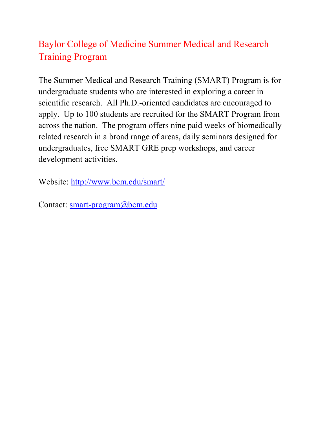## Baylor College of Medicine Summer Medical and Research Training Program

The Summer Medical and Research Training (SMART) Program is for undergraduate students who are interested in exploring a career in scientific research. All Ph.D.-oriented candidates are encouraged to apply. Up to 100 students are recruited for the SMART Program from across the nation. The program offers nine paid weeks of biomedically related research in a broad range of areas, daily seminars designed for undergraduates, free SMART GRE prep workshops, and career development activities.

Website: http://www.bcm.edu/smart/

Contact: smart-program@bcm.edu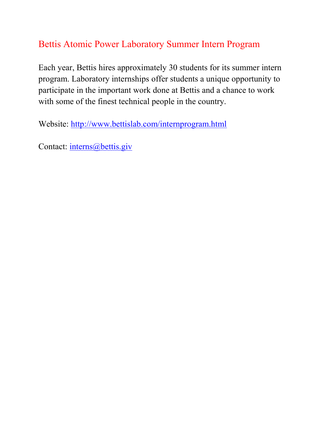#### Bettis Atomic Power Laboratory Summer Intern Program

Each year, Bettis hires approximately 30 students for its summer intern program. Laboratory internships offer students a unique opportunity to participate in the important work done at Bettis and a chance to work with some of the finest technical people in the country.

Website: http://www.bettislab.com/internprogram.html

Contact: interns@bettis.giv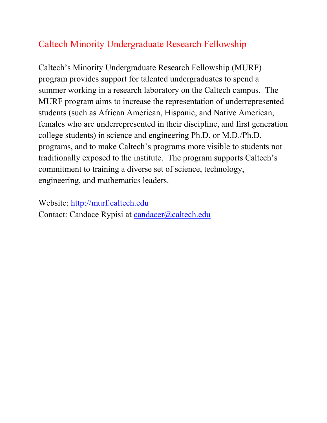## Caltech Minority Undergraduate Research Fellowship

Caltech's Minority Undergraduate Research Fellowship (MURF) program provides support for talented undergraduates to spend a summer working in a research laboratory on the Caltech campus. The MURF program aims to increase the representation of underrepresented students (such as African American, Hispanic, and Native American, females who are underrepresented in their discipline, and first generation college students) in science and engineering Ph.D. or M.D./Ph.D. programs, and to make Caltech's programs more visible to students not traditionally exposed to the institute. The program supports Caltech's commitment to training a diverse set of science, technology, engineering, and mathematics leaders.

Website: http://murf.caltech.edu

Contact: Candace Rypisi at candacer@caltech.edu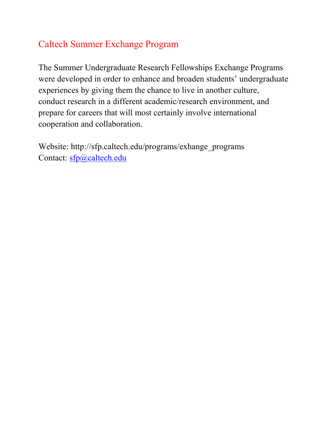### Caltech Summer Exchange Program

The Summer Undergraduate Research Fellowships Exchange Programs were developed in order to enhance and broaden students' undergraduate experiences by giving them the chance to live in another culture, conduct research in a different academic/research environment, and prepare for careers that will most certainly involve international cooperation and collaboration.

Website: http://sfp.caltech.edu/programs/exhange\_programs Contact: sfp@caltech.edu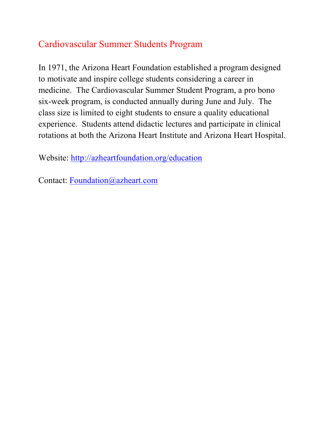### Cardiovascular Summer Students Program

In 1971, the Arizona Heart Foundation established a program designed to motivate and inspire college students considering a career in medicine. The Cardiovascular Summer Student Program, a pro bono six-week program, is conducted annually during June and July. The class size is limited to eight students to ensure a quality educational experience. Students attend didactic lectures and participate in clinical rotations at both the Arizona Heart Institute and Arizona Heart Hospital.

Website: http://azheartfoundation.org/education

Contact: Foundation@azheart.com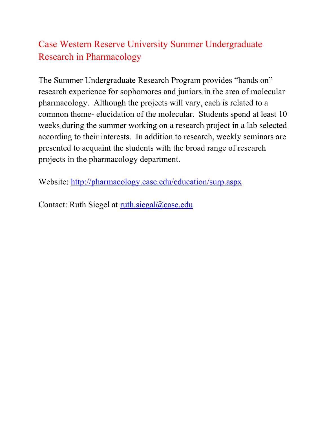## Case Western Reserve University Summer Undergraduate Research in Pharmacology

The Summer Undergraduate Research Program provides "hands on" research experience for sophomores and juniors in the area of molecular pharmacology. Although the projects will vary, each is related to a common theme- elucidation of the molecular. Students spend at least 10 weeks during the summer working on a research project in a lab selected according to their interests. In addition to research, weekly seminars are presented to acquaint the students with the broad range of research projects in the pharmacology department.

Website: http://pharmacology.case.edu/education/surp.aspx

Contact: Ruth Siegel at ruth.siegal@case.edu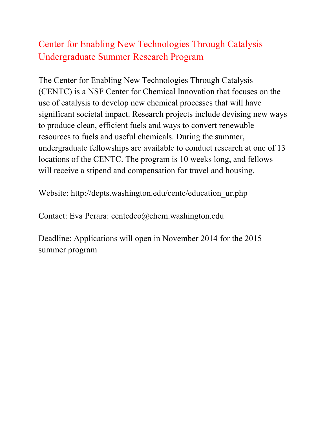## Center for Enabling New Technologies Through Catalysis Undergraduate Summer Research Program

The Center for Enabling New Technologies Through Catalysis (CENTC) is a NSF Center for Chemical Innovation that focuses on the use of catalysis to develop new chemical processes that will have significant societal impact. Research projects include devising new ways to produce clean, efficient fuels and ways to convert renewable resources to fuels and useful chemicals. During the summer, undergraduate fellowships are available to conduct research at one of 13 locations of the CENTC. The program is 10 weeks long, and fellows will receive a stipend and compensation for travel and housing.

Website: http://depts.washington.edu/centc/education\_ur.php

Contact: Eva Perara: centcdeo@chem.washington.edu

Deadline: Applications will open in November 2014 for the 2015 summer program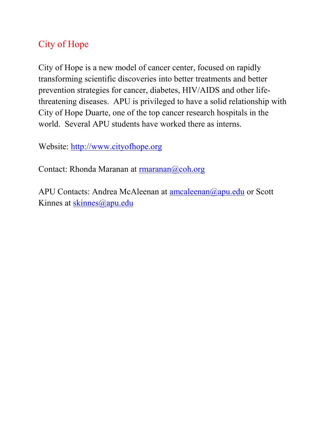## City of Hope

City of Hope is a new model of cancer center, focused on rapidly transforming scientific discoveries into better treatments and better prevention strategies for cancer, diabetes, HIV/AIDS and other lifethreatening diseases. APU is privileged to have a solid relationship with City of Hope Duarte, one of the top cancer research hospitals in the world. Several APU students have worked there as interns.

Website: http://www.cityofhope.org

Contact: Rhonda Maranan at rmaranan@coh.org

APU Contacts: Andrea McAleenan at amcaleenan@apu.edu or Scott Kinnes at skinnes@apu.edu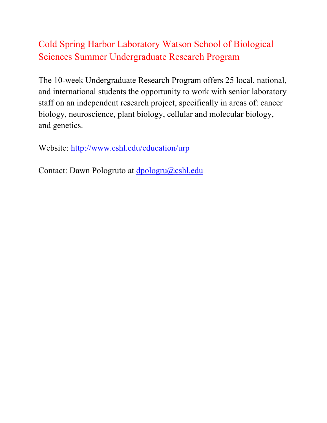## Cold Spring Harbor Laboratory Watson School of Biological Sciences Summer Undergraduate Research Program

The 10-week Undergraduate Research Program offers 25 local, national, and international students the opportunity to work with senior laboratory staff on an independent research project, specifically in areas of: cancer biology, neuroscience, plant biology, cellular and molecular biology, and genetics.

Website: http://www.cshl.edu/education/urp

Contact: Dawn Pologruto at dpologru@cshl.edu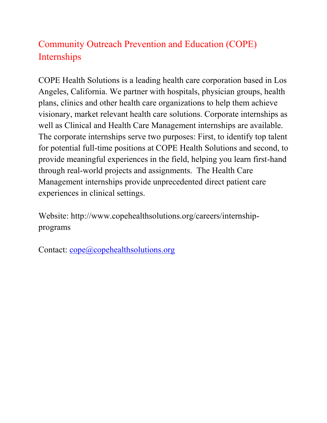## Community Outreach Prevention and Education (COPE) Internships

COPE Health Solutions is a leading health care corporation based in Los Angeles, California. We partner with hospitals, physician groups, health plans, clinics and other health care organizations to help them achieve visionary, market relevant health care solutions. Corporate internships as well as Clinical and Health Care Management internships are available. The corporate internships serve two purposes: First, to identify top talent for potential full-time positions at COPE Health Solutions and second, to provide meaningful experiences in the field, helping you learn first-hand through real-world projects and assignments. The Health Care Management internships provide unprecedented direct patient care experiences in clinical settings.

Website: http://www.copehealthsolutions.org/careers/internshipprograms

Contact: cope@copehealthsolutions.org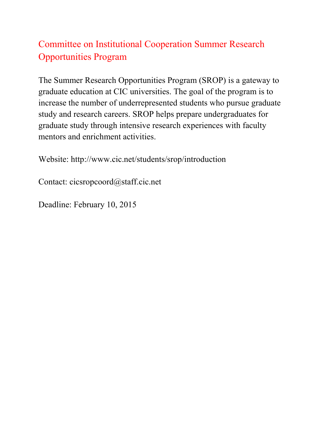## Committee on Institutional Cooperation Summer Research Opportunities Program

The Summer Research Opportunities Program (SROP) is a gateway to graduate education at CIC universities. The goal of the program is to increase the number of underrepresented students who pursue graduate study and research careers. SROP helps prepare undergraduates for graduate study through intensive research experiences with faculty mentors and enrichment activities.

Website: http://www.cic.net/students/srop/introduction

Contact: cicsropcoord@staff.cic.net

Deadline: February 10, 2015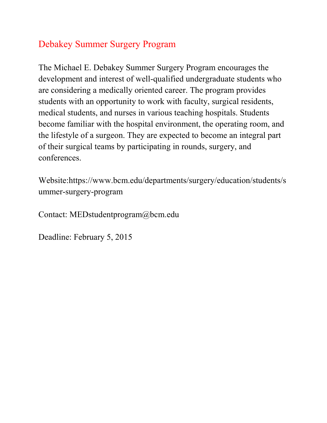#### Debakey Summer Surgery Program

The Michael E. Debakey Summer Surgery Program encourages the development and interest of well-qualified undergraduate students who are considering a medically oriented career. The program provides students with an opportunity to work with faculty, surgical residents, medical students, and nurses in various teaching hospitals. Students become familiar with the hospital environment, the operating room, and the lifestyle of a surgeon. They are expected to become an integral part of their surgical teams by participating in rounds, surgery, and conferences.

Website:https://www.bcm.edu/departments/surgery/education/students/s ummer-surgery-program

Contact: MEDstudentprogram@bcm.edu

Deadline: February 5, 2015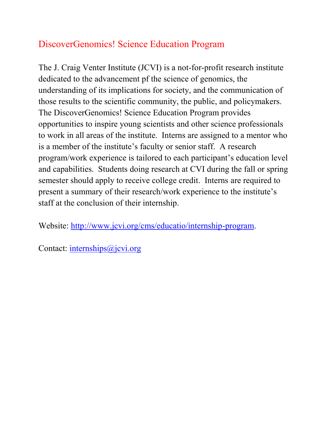## DiscoverGenomics! Science Education Program

The J. Craig Venter Institute (JCVI) is a not-for-profit research institute dedicated to the advancement pf the science of genomics, the understanding of its implications for society, and the communication of those results to the scientific community, the public, and policymakers. The DiscoverGenomics! Science Education Program provides opportunities to inspire young scientists and other science professionals to work in all areas of the institute. Interns are assigned to a mentor who is a member of the institute's faculty or senior staff. A research program/work experience is tailored to each participant's education level and capabilities. Students doing research at CVI during the fall or spring semester should apply to receive college credit. Interns are required to present a summary of their research/work experience to the institute's staff at the conclusion of their internship.

Website: http://www.jcvi.org/cms/educatio/internship-program.

Contact: internships@jcvi.org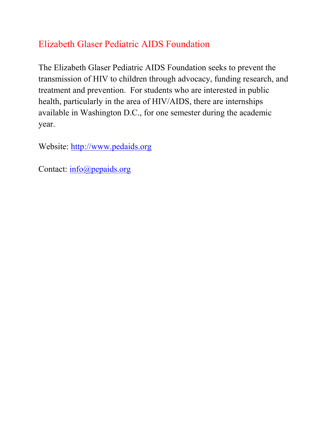## Elizabeth Glaser Pediatric AIDS Foundation

The Elizabeth Glaser Pediatric AIDS Foundation seeks to prevent the transmission of HIV to children through advocacy, funding research, and treatment and prevention. For students who are interested in public health, particularly in the area of HIV/AIDS, there are internships available in Washington D.C., for one semester during the academic year.

Website: http://www.pedaids.org

Contact: info@pepaids.org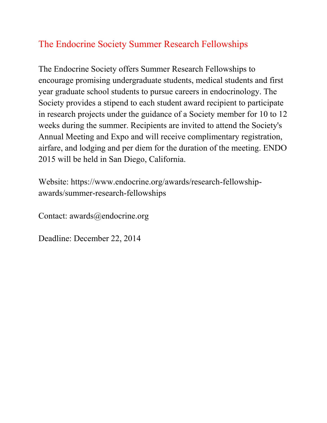## The Endocrine Society Summer Research Fellowships

The Endocrine Society offers Summer Research Fellowships to encourage promising undergraduate students, medical students and first year graduate school students to pursue careers in endocrinology. The Society provides a stipend to each student award recipient to participate in research projects under the guidance of a Society member for 10 to 12 weeks during the summer. Recipients are invited to attend the Society's Annual Meeting and Expo and will receive complimentary registration, airfare, and lodging and per diem for the duration of the meeting. ENDO 2015 will be held in San Diego, California.

Website: https://www.endocrine.org/awards/research-fellowshipawards/summer-research-fellowships

Contact: awards@endocrine.org

Deadline: December 22, 2014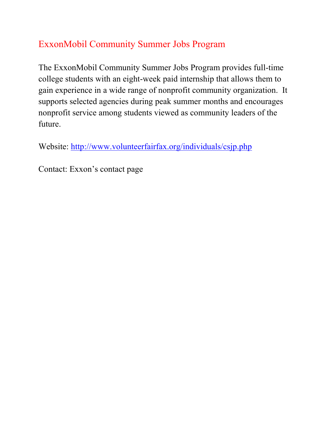## ExxonMobil Community Summer Jobs Program

The ExxonMobil Community Summer Jobs Program provides full-time college students with an eight-week paid internship that allows them to gain experience in a wide range of nonprofit community organization. It supports selected agencies during peak summer months and encourages nonprofit service among students viewed as community leaders of the future.

Website: http://www.volunteerfairfax.org/individuals/csjp.php

Contact: Exxon's contact page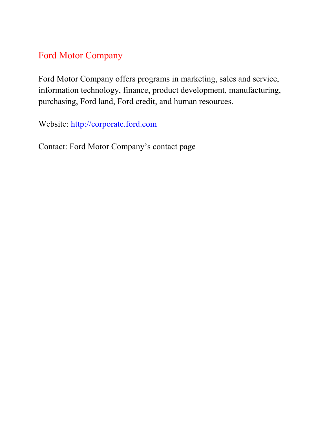#### Ford Motor Company

Ford Motor Company offers programs in marketing, sales and service, information technology, finance, product development, manufacturing, purchasing, Ford land, Ford credit, and human resources.

Website: http://corporate.ford.com

Contact: Ford Motor Company's contact page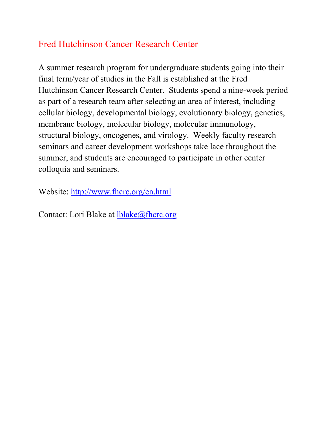### Fred Hutchinson Cancer Research Center

A summer research program for undergraduate students going into their final term/year of studies in the Fall is established at the Fred Hutchinson Cancer Research Center. Students spend a nine-week period as part of a research team after selecting an area of interest, including cellular biology, developmental biology, evolutionary biology, genetics, membrane biology, molecular biology, molecular immunology, structural biology, oncogenes, and virology. Weekly faculty research seminars and career development workshops take lace throughout the summer, and students are encouraged to participate in other center colloquia and seminars.

Website: http://www.fhcrc.org/en.html

Contact: Lori Blake at lblake@fhcrc.org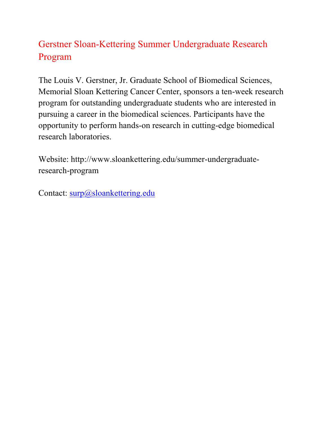## Gerstner Sloan-Kettering Summer Undergraduate Research Program

The Louis V. Gerstner, Jr. Graduate School of Biomedical Sciences, Memorial Sloan Kettering Cancer Center, sponsors a ten-week research program for outstanding undergraduate students who are interested in pursuing a career in the biomedical sciences. Participants have the opportunity to perform hands-on research in cutting-edge biomedical research laboratories.

Website: http://www.sloankettering.edu/summer-undergraduateresearch-program

Contact: surp@sloankettering.edu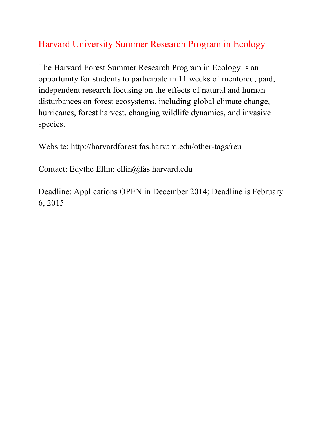## Harvard University Summer Research Program in Ecology

The Harvard Forest Summer Research Program in Ecology is an opportunity for students to participate in 11 weeks of mentored, paid, independent research focusing on the effects of natural and human disturbances on forest ecosystems, including global climate change, hurricanes, forest harvest, changing wildlife dynamics, and invasive species.

Website: http://harvardforest.fas.harvard.edu/other-tags/reu

Contact: Edythe Ellin: ellin@fas.harvard.edu

Deadline: Applications OPEN in December 2014; Deadline is February 6, 2015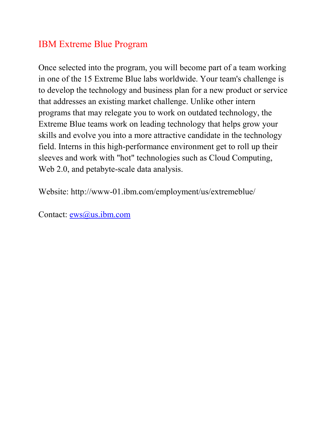#### IBM Extreme Blue Program

Once selected into the program, you will become part of a team working in one of the 15 Extreme Blue labs worldwide. Your team's challenge is to develop the technology and business plan for a new product or service that addresses an existing market challenge. Unlike other intern programs that may relegate you to work on outdated technology, the Extreme Blue teams work on leading technology that helps grow your skills and evolve you into a more attractive candidate in the technology field. Interns in this high-performance environment get to roll up their sleeves and work with "hot" technologies such as Cloud Computing, Web 2.0, and petabyte-scale data analysis.

Website: http://www-01.ibm.com/employment/us/extremeblue/

Contact: ews@us.ibm.com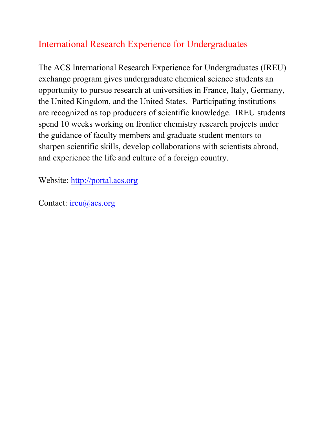## International Research Experience for Undergraduates

The ACS International Research Experience for Undergraduates (IREU) exchange program gives undergraduate chemical science students an opportunity to pursue research at universities in France, Italy, Germany, the United Kingdom, and the United States. Participating institutions are recognized as top producers of scientific knowledge. IREU students spend 10 weeks working on frontier chemistry research projects under the guidance of faculty members and graduate student mentors to sharpen scientific skills, develop collaborations with scientists abroad, and experience the life and culture of a foreign country.

Website: http://portal.acs.org

Contact: ireu@acs.org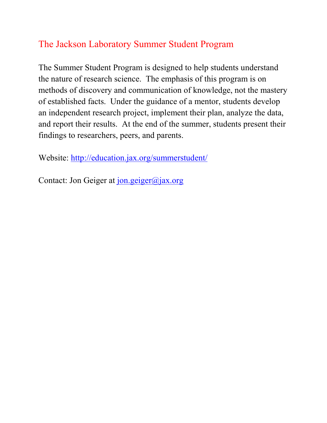#### The Jackson Laboratory Summer Student Program

The Summer Student Program is designed to help students understand the nature of research science. The emphasis of this program is on methods of discovery and communication of knowledge, not the mastery of established facts. Under the guidance of a mentor, students develop an independent research project, implement their plan, analyze the data, and report their results. At the end of the summer, students present their findings to researchers, peers, and parents.

Website: http://education.jax.org/summerstudent/

Contact: Jon Geiger at jon.geiger@jax.org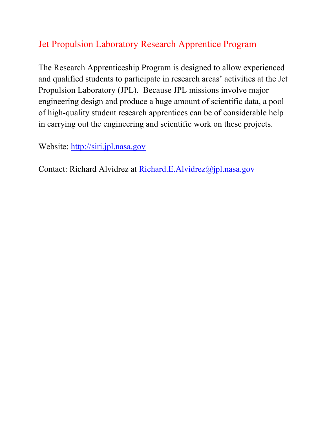## Jet Propulsion Laboratory Research Apprentice Program

The Research Apprenticeship Program is designed to allow experienced and qualified students to participate in research areas' activities at the Jet Propulsion Laboratory (JPL). Because JPL missions involve major engineering design and produce a huge amount of scientific data, a pool of high-quality student research apprentices can be of considerable help in carrying out the engineering and scientific work on these projects.

Website: http://siri.jpl.nasa.gov

Contact: Richard Alvidrez at Richard.E.Alvidrez@jpl.nasa.gov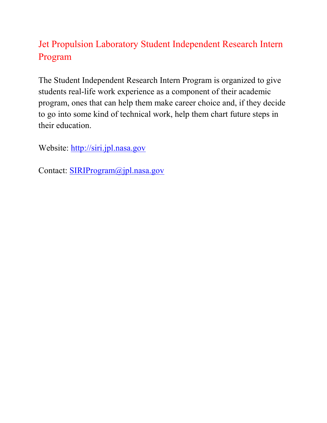## Jet Propulsion Laboratory Student Independent Research Intern Program

The Student Independent Research Intern Program is organized to give students real-life work experience as a component of their academic program, ones that can help them make career choice and, if they decide to go into some kind of technical work, help them chart future steps in their education.

Website: http://siri.jpl.nasa.gov

Contact: SIRIProgram@jpl.nasa.gov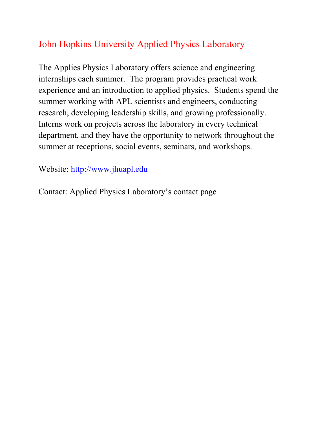## John Hopkins University Applied Physics Laboratory

The Applies Physics Laboratory offers science and engineering internships each summer. The program provides practical work experience and an introduction to applied physics. Students spend the summer working with APL scientists and engineers, conducting research, developing leadership skills, and growing professionally. Interns work on projects across the laboratory in every technical department, and they have the opportunity to network throughout the summer at receptions, social events, seminars, and workshops.

Website: http://www.jhuapl.edu

Contact: Applied Physics Laboratory's contact page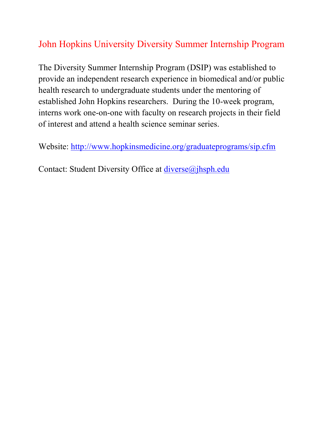## John Hopkins University Diversity Summer Internship Program

The Diversity Summer Internship Program (DSIP) was established to provide an independent research experience in biomedical and/or public health research to undergraduate students under the mentoring of established John Hopkins researchers. During the 10-week program, interns work one-on-one with faculty on research projects in their field of interest and attend a health science seminar series.

Website: http://www.hopkinsmedicine.org/graduateprograms/sip.cfm

Contact: Student Diversity Office at *diverse@jhsph.edu*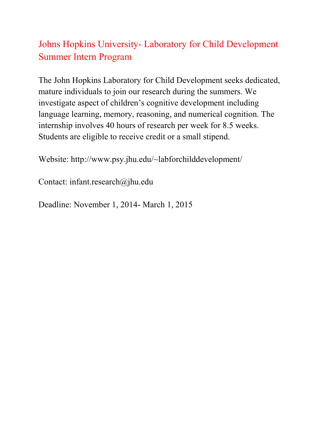## Johns Hopkins University- Laboratory for Child Development Summer Intern Program

The John Hopkins Laboratory for Child Development seeks dedicated, mature individuals to join our research during the summers. We investigate aspect of children's cognitive development including language learning, memory, reasoning, and numerical cognition. The internship involves 40 hours of research per week for 8.5 weeks. Students are eligible to receive credit or a small stipend.

Website: http://www.psy.jhu.edu/~labforchilddevelopment/

Contact: infant.research@jhu.edu

Deadline: November 1, 2014- March 1, 2015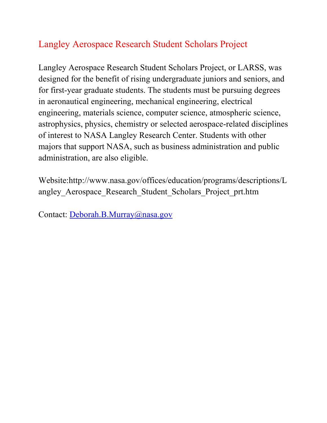### Langley Aerospace Research Student Scholars Project

Langley Aerospace Research Student Scholars Project, or LARSS, was designed for the benefit of rising undergraduate juniors and seniors, and for first-year graduate students. The students must be pursuing degrees in aeronautical engineering, mechanical engineering, electrical engineering, materials science, computer science, atmospheric science, astrophysics, physics, chemistry or selected aerospace-related disciplines of interest to NASA Langley Research Center. Students with other majors that support NASA, such as business administration and public administration, are also eligible.

Website:http://www.nasa.gov/offices/education/programs/descriptions/L angley\_Aerospace\_Research\_Student\_Scholars\_Project\_prt.htm

Contact: Deborah.B.Murray@nasa.gov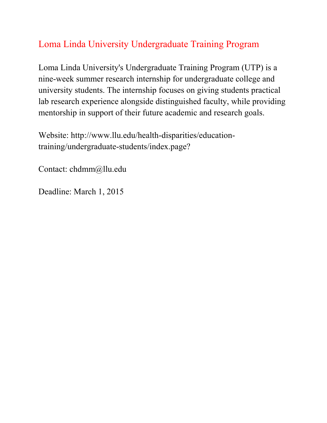# Loma Linda University Undergraduate Training Program

Loma Linda University's Undergraduate Training Program (UTP) is a nine-week summer research internship for undergraduate college and university students. The internship focuses on giving students practical lab research experience alongside distinguished faculty, while providing mentorship in support of their future academic and research goals.

Website: http://www.llu.edu/health-disparities/educationtraining/undergraduate-students/index.page?

Contact: chdmm@llu.edu

Deadline: March 1, 2015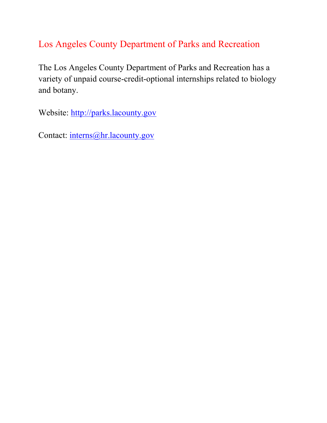### Los Angeles County Department of Parks and Recreation

The Los Angeles County Department of Parks and Recreation has a variety of unpaid course-credit-optional internships related to biology and botany.

Website: http://parks.lacounty.gov

Contact: interns@hr.lacounty.gov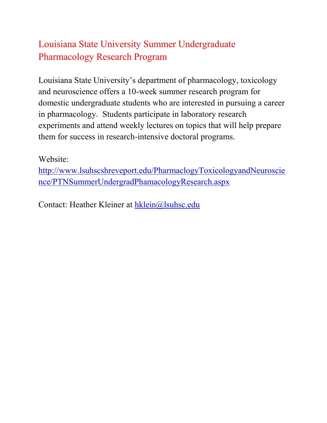# Louisiana State University Summer Undergraduate Pharmacology Research Program

Louisiana State University's department of pharmacology, toxicology and neuroscience offers a 10-week summer research program for domestic undergraduate students who are interested in pursuing a career in pharmacology. Students participate in laboratory research experiments and attend weekly lectures on topics that will help prepare them for success in research-intensive doctoral programs.

#### Website:

http://www.lsuhscshreveport.edu/PharmaclogyToxicologyandNeuroscie nce/PTNSummerUndergradPhamacologyResearch.aspx

Contact: Heather Kleiner at hklein@lsuhsc.edu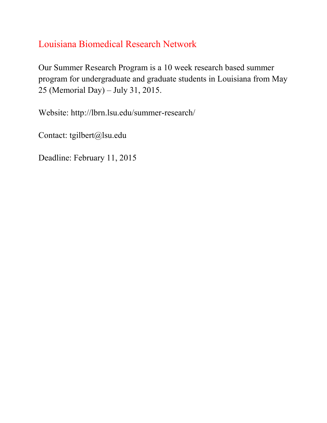## Louisiana Biomedical Research Network

Our Summer Research Program is a 10 week research based summer program for undergraduate and graduate students in Louisiana from May 25 (Memorial Day) – July 31, 2015.

Website: http://lbrn.lsu.edu/summer-research/

Contact: tgilbert@lsu.edu

Deadline: February 11, 2015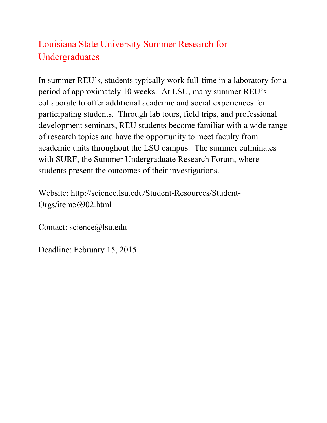# Louisiana State University Summer Research for Undergraduates

In summer REU's, students typically work full-time in a laboratory for a period of approximately 10 weeks. At LSU, many summer REU's collaborate to offer additional academic and social experiences for participating students. Through lab tours, field trips, and professional development seminars, REU students become familiar with a wide range of research topics and have the opportunity to meet faculty from academic units throughout the LSU campus. The summer culminates with SURF, the Summer Undergraduate Research Forum, where students present the outcomes of their investigations.

Website: http://science.lsu.edu/Student-Resources/Student-Orgs/item56902.html

Contact: science@lsu.edu

Deadline: February 15, 2015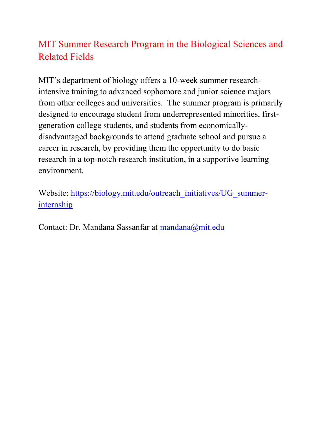## MIT Summer Research Program in the Biological Sciences and Related Fields

MIT's department of biology offers a 10-week summer researchintensive training to advanced sophomore and junior science majors from other colleges and universities. The summer program is primarily designed to encourage student from underrepresented minorities, firstgeneration college students, and students from economicallydisadvantaged backgrounds to attend graduate school and pursue a career in research, by providing them the opportunity to do basic research in a top-notch research institution, in a supportive learning environment.

Website: https://biology.mit.edu/outreach\_initiatives/UG\_summerinternship

Contact: Dr. Mandana Sassanfar at mandana@mit.edu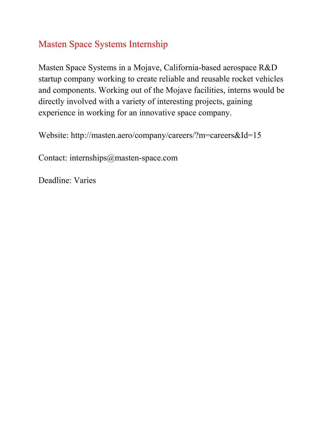#### Masten Space Systems Internship

Masten Space Systems in a Mojave, California-based aerospace R&D startup company working to create reliable and reusable rocket vehicles and components. Working out of the Mojave facilities, interns would be directly involved with a variety of interesting projects, gaining experience in working for an innovative space company.

Website: http://masten.aero/company/careers/?m=careers&Id=15

Contact: internships@masten-space.com

Deadline: Varies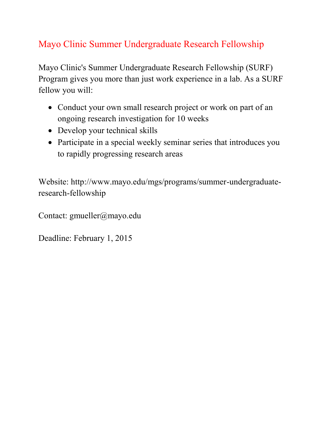# Mayo Clinic Summer Undergraduate Research Fellowship

Mayo Clinic's Summer Undergraduate Research Fellowship (SURF) Program gives you more than just work experience in a lab. As a SURF fellow you will:

- Conduct your own small research project or work on part of an ongoing research investigation for 10 weeks
- Develop your technical skills
- Participate in a special weekly seminar series that introduces you to rapidly progressing research areas

Website: http://www.mayo.edu/mgs/programs/summer-undergraduateresearch-fellowship

Contact: gmueller@mayo.edu

Deadline: February 1, 2015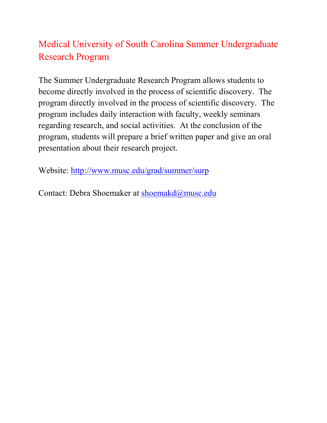# Medical University of South Carolina Summer Undergraduate Research Program

The Summer Undergraduate Research Program allows students to become directly involved in the process of scientific discovery. The program directly involved in the process of scientific discovery. The program includes daily interaction with faculty, weekly seminars regarding research, and social activities. At the conclusion of the program, students will prepare a brief written paper and give an oral presentation about their research project.

Website: http://www.musc.edu/grad/summer/surp

Contact: Debra Shoemaker at shoemakd@musc.edu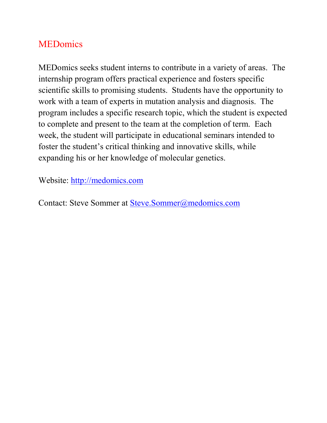#### **MEDomics**

MEDomics seeks student interns to contribute in a variety of areas. The internship program offers practical experience and fosters specific scientific skills to promising students. Students have the opportunity to work with a team of experts in mutation analysis and diagnosis. The program includes a specific research topic, which the student is expected to complete and present to the team at the completion of term. Each week, the student will participate in educational seminars intended to foster the student's critical thinking and innovative skills, while expanding his or her knowledge of molecular genetics.

Website: http://medomics.com

Contact: Steve Sommer at Steve.Sommer@medomics.com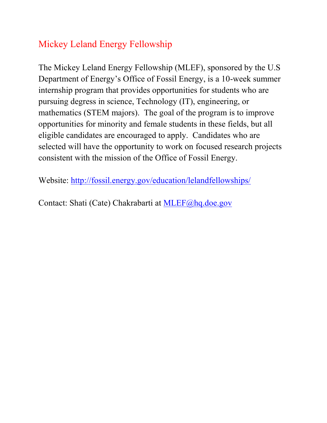## Mickey Leland Energy Fellowship

The Mickey Leland Energy Fellowship (MLEF), sponsored by the U.S Department of Energy's Office of Fossil Energy, is a 10-week summer internship program that provides opportunities for students who are pursuing degress in science, Technology (IT), engineering, or mathematics (STEM majors). The goal of the program is to improve opportunities for minority and female students in these fields, but all eligible candidates are encouraged to apply. Candidates who are selected will have the opportunity to work on focused research projects consistent with the mission of the Office of Fossil Energy.

Website: http://fossil.energy.gov/education/lelandfellowships/

Contact: Shati (Cate) Chakrabarti at MLEF@hq.doe.gov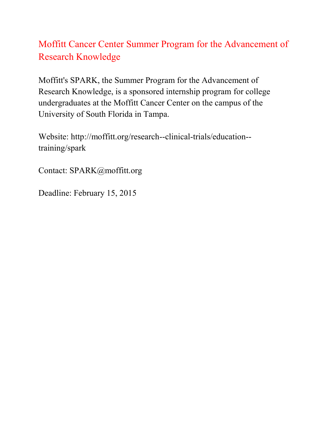## Moffitt Cancer Center Summer Program for the Advancement of Research Knowledge

Moffitt's SPARK, the Summer Program for the Advancement of Research Knowledge, is a sponsored internship program for college undergraduates at the Moffitt Cancer Center on the campus of the University of South Florida in Tampa.

Website: http://moffitt.org/research--clinical-trials/education- training/spark

Contact: SPARK@moffitt.org

Deadline: February 15, 2015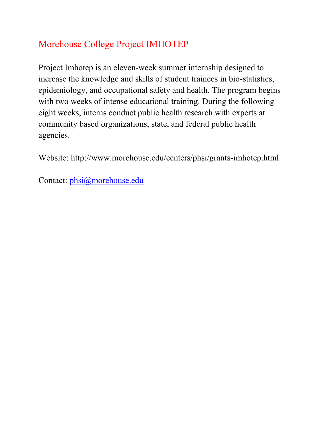# Morehouse College Project IMHOTEP

Project Imhotep is an eleven-week summer internship designed to increase the knowledge and skills of student trainees in bio-statistics, epidemiology, and occupational safety and health. The program begins with two weeks of intense educational training. During the following eight weeks, interns conduct public health research with experts at community based organizations, state, and federal public health agencies.

Website: http://www.morehouse.edu/centers/phsi/grants-imhotep.html

Contact: phsi@morehouse.edu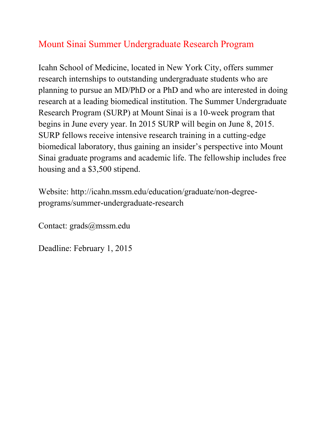### Mount Sinai Summer Undergraduate Research Program

Icahn School of Medicine, located in New York City, offers summer research internships to outstanding undergraduate students who are planning to pursue an MD/PhD or a PhD and who are interested in doing research at a leading biomedical institution. The Summer Undergraduate Research Program (SURP) at Mount Sinai is a 10-week program that begins in June every year. In 2015 SURP will begin on June 8, 2015. SURP fellows receive intensive research training in a cutting-edge biomedical laboratory, thus gaining an insider's perspective into Mount Sinai graduate programs and academic life. The fellowship includes free housing and a \$3,500 stipend.

Website: http://icahn.mssm.edu/education/graduate/non-degreeprograms/summer-undergraduate-research

Contact: grads@mssm.edu

Deadline: February 1, 2015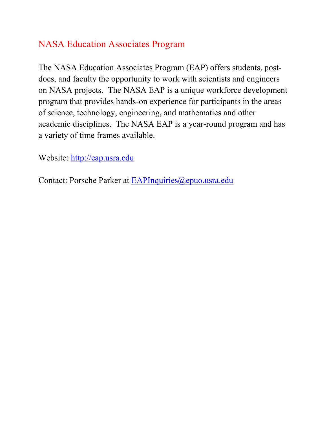#### NASA Education Associates Program

The NASA Education Associates Program (EAP) offers students, postdocs, and faculty the opportunity to work with scientists and engineers on NASA projects. The NASA EAP is a unique workforce development program that provides hands-on experience for participants in the areas of science, technology, engineering, and mathematics and other academic disciplines. The NASA EAP is a year-round program and has a variety of time frames available.

Website: http://eap.usra.edu

Contact: Porsche Parker at EAPInquiries@epuo.usra.edu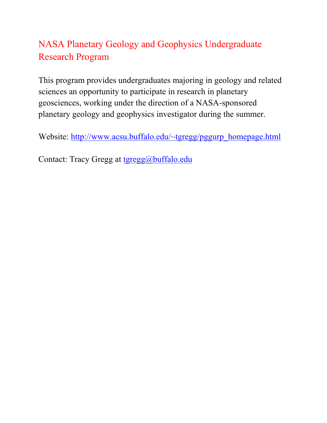## NASA Planetary Geology and Geophysics Undergraduate Research Program

This program provides undergraduates majoring in geology and related sciences an opportunity to participate in research in planetary geosciences, working under the direction of a NASA-sponsored planetary geology and geophysics investigator during the summer.

Website: http://www.acsu.buffalo.edu/~tgregg/pggurp\_homepage.html

Contact: Tracy Gregg at tgregg@buffalo.edu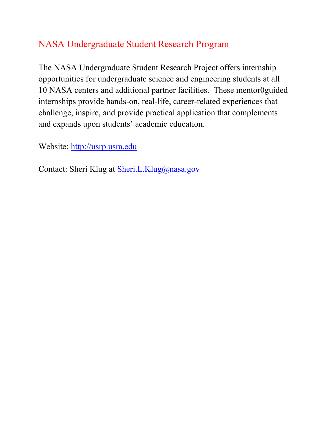## NASA Undergraduate Student Research Program

The NASA Undergraduate Student Research Project offers internship opportunities for undergraduate science and engineering students at all 10 NASA centers and additional partner facilities. These mentor0guided internships provide hands-on, real-life, career-related experiences that challenge, inspire, and provide practical application that complements and expands upon students' academic education.

Website: http://usrp.usra.edu

Contact: Sheri Klug at **Sheri.L.Klug@nasa.gov**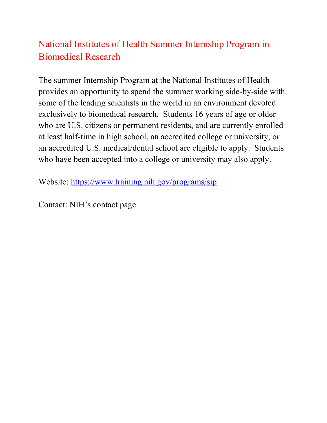## National Institutes of Health Summer Internship Program in Biomedical Research

The summer Internship Program at the National Institutes of Health provides an opportunity to spend the summer working side-by-side with some of the leading scientists in the world in an environment devoted exclusively to biomedical research. Students 16 years of age or older who are U.S. citizens or permanent residents, and are currently enrolled at least half-time in high school, an accredited college or university, or an accredited U.S. medical/dental school are eligible to apply. Students who have been accepted into a college or university may also apply.

Website: https://www.training.nih.gov/programs/sip

Contact: NIH's contact page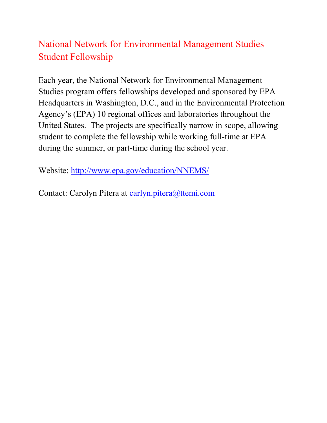## National Network for Environmental Management Studies Student Fellowship

Each year, the National Network for Environmental Management Studies program offers fellowships developed and sponsored by EPA Headquarters in Washington, D.C., and in the Environmental Protection Agency's (EPA) 10 regional offices and laboratories throughout the United States. The projects are specifically narrow in scope, allowing student to complete the fellowship while working full-time at EPA during the summer, or part-time during the school year.

Website: http://www.epa.gov/education/NNEMS/

Contact: Carolyn Pitera at carlyn.pitera@ttemi.com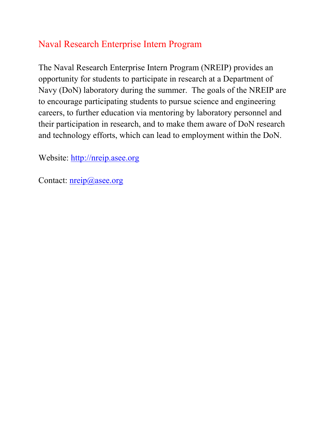#### Naval Research Enterprise Intern Program

The Naval Research Enterprise Intern Program (NREIP) provides an opportunity for students to participate in research at a Department of Navy (DoN) laboratory during the summer. The goals of the NREIP are to encourage participating students to pursue science and engineering careers, to further education via mentoring by laboratory personnel and their participation in research, and to make them aware of DoN research and technology efforts, which can lead to employment within the DoN.

Website: http://nreip.asee.org

Contact: <u>nreip@asee.org</u>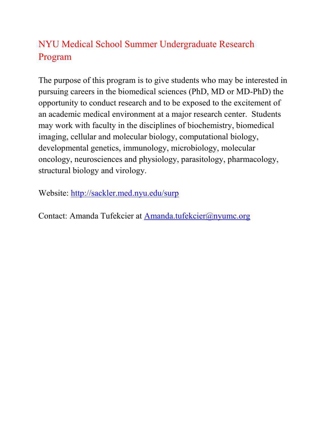# NYU Medical School Summer Undergraduate Research Program

The purpose of this program is to give students who may be interested in pursuing careers in the biomedical sciences (PhD, MD or MD-PhD) the opportunity to conduct research and to be exposed to the excitement of an academic medical environment at a major research center. Students may work with faculty in the disciplines of biochemistry, biomedical imaging, cellular and molecular biology, computational biology, developmental genetics, immunology, microbiology, molecular oncology, neurosciences and physiology, parasitology, pharmacology, structural biology and virology.

Website: http://sackler.med.nyu.edu/surp

Contact: Amanda Tufekcier at Amanda.tufekcier@nyumc.org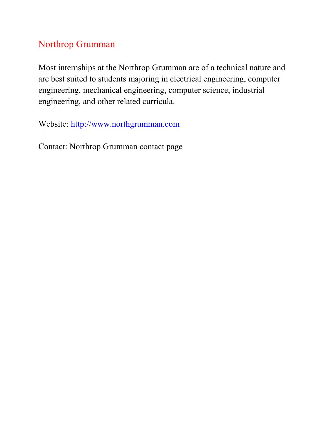## Northrop Grumman

Most internships at the Northrop Grumman are of a technical nature and are best suited to students majoring in electrical engineering, computer engineering, mechanical engineering, computer science, industrial engineering, and other related curricula.

Website: http://www.northgrumman.com

Contact: Northrop Grumman contact page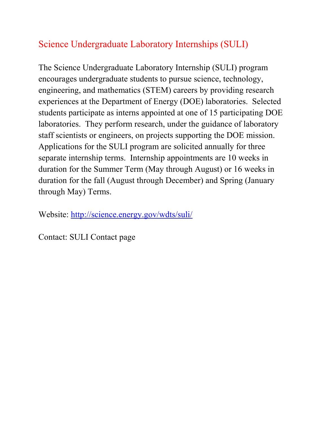## Science Undergraduate Laboratory Internships (SULI)

The Science Undergraduate Laboratory Internship (SULI) program encourages undergraduate students to pursue science, technology, engineering, and mathematics (STEM) careers by providing research experiences at the Department of Energy (DOE) laboratories. Selected students participate as interns appointed at one of 15 participating DOE laboratories. They perform research, under the guidance of laboratory staff scientists or engineers, on projects supporting the DOE mission. Applications for the SULI program are solicited annually for three separate internship terms. Internship appointments are 10 weeks in duration for the Summer Term (May through August) or 16 weeks in duration for the fall (August through December) and Spring (January through May) Terms.

Website: http://science.energy.gov/wdts/suli/

Contact: SULI Contact page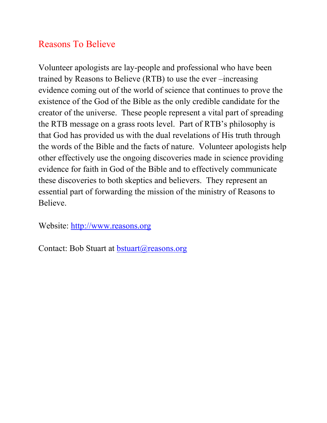#### Reasons To Believe

Volunteer apologists are lay-people and professional who have been trained by Reasons to Believe (RTB) to use the ever –increasing evidence coming out of the world of science that continues to prove the existence of the God of the Bible as the only credible candidate for the creator of the universe. These people represent a vital part of spreading the RTB message on a grass roots level. Part of RTB's philosophy is that God has provided us with the dual revelations of His truth through the words of the Bible and the facts of nature. Volunteer apologists help other effectively use the ongoing discoveries made in science providing evidence for faith in God of the Bible and to effectively communicate these discoveries to both skeptics and believers. They represent an essential part of forwarding the mission of the ministry of Reasons to Believe.

Website: http://www.reasons.org

Contact: Bob Stuart at bstuart@reasons.org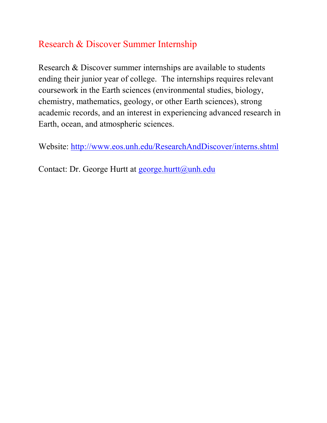#### Research & Discover Summer Internship

Research & Discover summer internships are available to students ending their junior year of college. The internships requires relevant coursework in the Earth sciences (environmental studies, biology, chemistry, mathematics, geology, or other Earth sciences), strong academic records, and an interest in experiencing advanced research in Earth, ocean, and atmospheric sciences.

Website: http://www.eos.unh.edu/ResearchAndDiscover/interns.shtml

Contact: Dr. George Hurtt at george.hurtt@unh.edu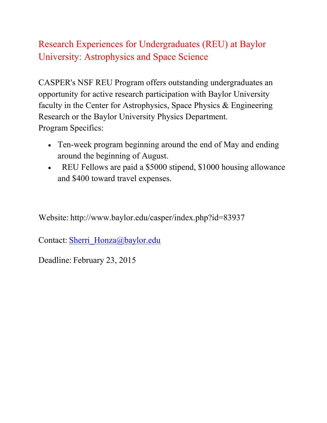### Research Experiences for Undergraduates (REU) at Baylor University: Astrophysics and Space Science

CASPER's NSF REU Program offers outstanding undergraduates an opportunity for active research participation with Baylor University faculty in the Center for Astrophysics, Space Physics & Engineering Research or the Baylor University Physics Department. Program Specifics:

- Ten-week program beginning around the end of May and ending around the beginning of August.
- EU Fellows are paid a \$5000 stipend, \$1000 housing allowance and \$400 toward travel expenses.

Website: http://www.baylor.edu/casper/index.php?id=83937

Contact: Sherri\_Honza@baylor.edu

Deadline: February 23, 2015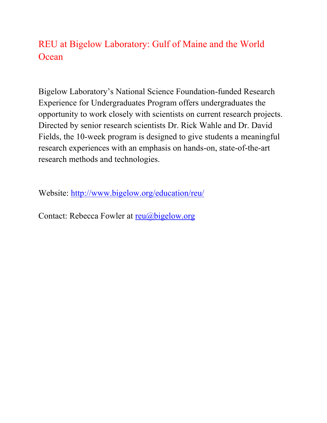#### REU at Bigelow Laboratory: Gulf of Maine and the World **Ocean**

Bigelow Laboratory's National Science Foundation-funded Research Experience for Undergraduates Program offers undergraduates the opportunity to work closely with scientists on current research projects. Directed by senior research scientists Dr. Rick Wahle and Dr. David Fields, the 10-week program is designed to give students a meaningful research experiences with an emphasis on hands-on, state-of-the-art research methods and technologies.

Website: http://www.bigelow.org/education/reu/

Contact: Rebecca Fowler at reu@bigelow.org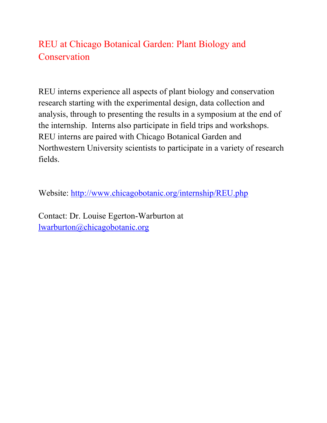## REU at Chicago Botanical Garden: Plant Biology and **Conservation**

REU interns experience all aspects of plant biology and conservation research starting with the experimental design, data collection and analysis, through to presenting the results in a symposium at the end of the internship. Interns also participate in field trips and workshops. REU interns are paired with Chicago Botanical Garden and Northwestern University scientists to participate in a variety of research fields.

Website: http://www.chicagobotanic.org/internship/REU.php

Contact: Dr. Louise Egerton-Warburton at lwarburton@chicagobotanic.org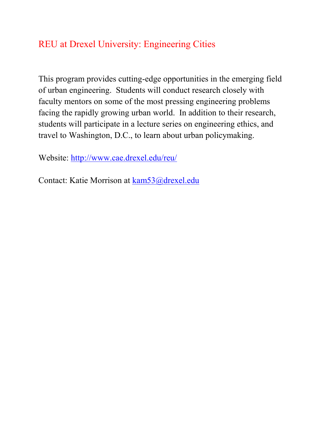#### REU at Drexel University: Engineering Cities

This program provides cutting-edge opportunities in the emerging field of urban engineering. Students will conduct research closely with faculty mentors on some of the most pressing engineering problems facing the rapidly growing urban world. In addition to their research, students will participate in a lecture series on engineering ethics, and travel to Washington, D.C., to learn about urban policymaking.

Website: http://www.cae.drexel.edu/reu/

Contact: Katie Morrison at kam53@drexel.edu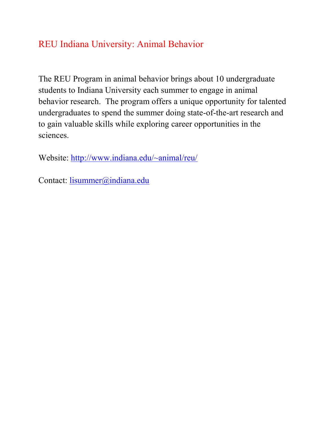#### REU Indiana University: Animal Behavior

The REU Program in animal behavior brings about 10 undergraduate students to Indiana University each summer to engage in animal behavior research. The program offers a unique opportunity for talented undergraduates to spend the summer doing state-of-the-art research and to gain valuable skills while exploring career opportunities in the sciences.

Website: http://www.indiana.edu/~animal/reu/

Contact: lisummer@indiana.edu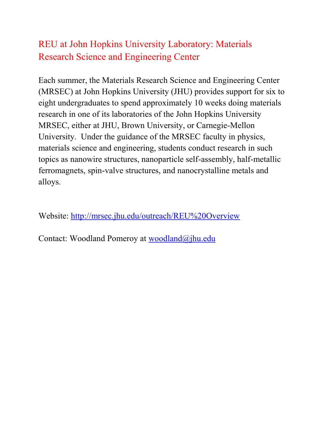## REU at John Hopkins University Laboratory: Materials Research Science and Engineering Center

Each summer, the Materials Research Science and Engineering Center (MRSEC) at John Hopkins University (JHU) provides support for six to eight undergraduates to spend approximately 10 weeks doing materials research in one of its laboratories of the John Hopkins University MRSEC, either at JHU, Brown University, or Carnegie-Mellon University. Under the guidance of the MRSEC faculty in physics, materials science and engineering, students conduct research in such topics as nanowire structures, nanoparticle self-assembly, half-metallic ferromagnets, spin-valve structures, and nanocrystalline metals and alloys.

Website: http://mrsec.jhu.edu/outreach/REU%20Overview

Contact: Woodland Pomeroy at woodland@jhu.edu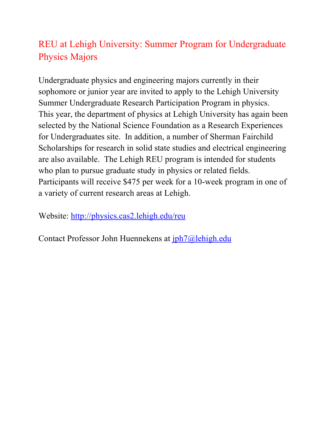# REU at Lehigh University: Summer Program for Undergraduate Physics Majors

Undergraduate physics and engineering majors currently in their sophomore or junior year are invited to apply to the Lehigh University Summer Undergraduate Research Participation Program in physics. This year, the department of physics at Lehigh University has again been selected by the National Science Foundation as a Research Experiences for Undergraduates site. In addition, a number of Sherman Fairchild Scholarships for research in solid state studies and electrical engineering are also available. The Lehigh REU program is intended for students who plan to pursue graduate study in physics or related fields. Participants will receive \$475 per week for a 10-week program in one of a variety of current research areas at Lehigh.

Website: http://physics.cas2.lehigh.edu/reu

Contact Professor John Huennekens at jph7@lehigh.edu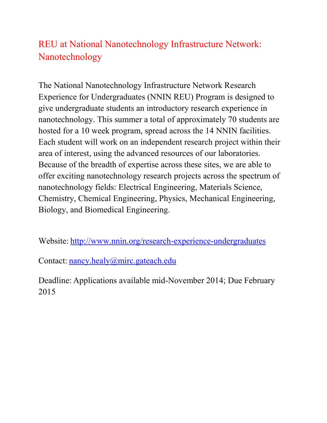## REU at National Nanotechnology Infrastructure Network: Nanotechnology

The National Nanotechnology Infrastructure Network Research Experience for Undergraduates (NNIN REU) Program is designed to give undergraduate students an introductory research experience in nanotechnology. This summer a total of approximately 70 students are hosted for a 10 week program, spread across the 14 NNIN facilities. Each student will work on an independent research project within their area of interest, using the advanced resources of our laboratories. Because of the breadth of expertise across these sites, we are able to offer exciting nanotechnology research projects across the spectrum of nanotechnology fields: Electrical Engineering, Materials Science, Chemistry, Chemical Engineering, Physics, Mechanical Engineering, Biology, and Biomedical Engineering.

Website: http://www.nnin.org/research-experience-undergraduates

Contact: nancy.healy@mirc.gateach.edu

Deadline: Applications available mid-November 2014; Due February 2015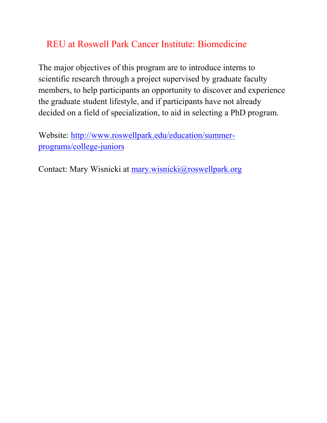## REU at Roswell Park Cancer Institute: Biomedicine

The major objectives of this program are to introduce interns to scientific research through a project supervised by graduate faculty members, to help participants an opportunity to discover and experience the graduate student lifestyle, and if participants have not already decided on a field of specialization, to aid in selecting a PhD program.

Website: http://www.roswellpark.edu/education/summerprograms/college-juniors

Contact: Mary Wisnicki at mary.wisnicki@roswellpark.org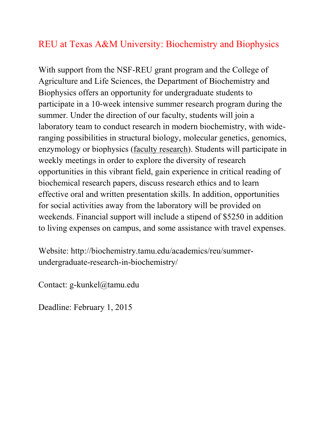#### REU at Texas A&M University: Biochemistry and Biophysics

With support from the NSF-REU grant program and the College of Agriculture and Life Sciences, the Department of Biochemistry and Biophysics offers an opportunity for undergraduate students to participate in a 10-week intensive summer research program during the summer. Under the direction of our faculty, students will join a laboratory team to conduct research in modern biochemistry, with wideranging possibilities in structural biology, molecular genetics, genomics, enzymology or biophysics (faculty research). Students will participate in weekly meetings in order to explore the diversity of research opportunities in this vibrant field, gain experience in critical reading of biochemical research papers, discuss research ethics and to learn effective oral and written presentation skills. In addition, opportunities for social activities away from the laboratory will be provided on weekends. Financial support will include a stipend of \$5250 in addition to living expenses on campus, and some assistance with travel expenses.

Website: http://biochemistry.tamu.edu/academics/reu/summerundergraduate-research-in-biochemistry/

Contact: g-kunkel@tamu.edu

Deadline: February 1, 2015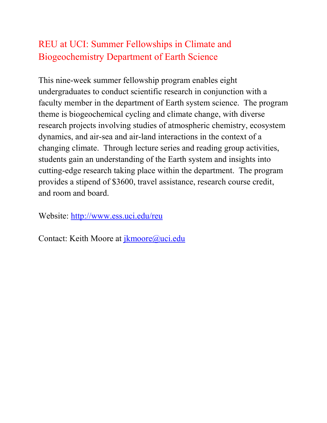# REU at UCI: Summer Fellowships in Climate and Biogeochemistry Department of Earth Science

This nine-week summer fellowship program enables eight undergraduates to conduct scientific research in conjunction with a faculty member in the department of Earth system science. The program theme is biogeochemical cycling and climate change, with diverse research projects involving studies of atmospheric chemistry, ecosystem dynamics, and air-sea and air-land interactions in the context of a changing climate. Through lecture series and reading group activities, students gain an understanding of the Earth system and insights into cutting-edge research taking place within the department. The program provides a stipend of \$3600, travel assistance, research course credit, and room and board.

Website: http://www.ess.uci.edu/reu

Contact: Keith Moore at jkmoore@uci.edu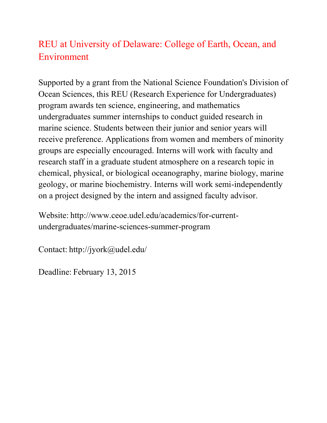## REU at University of Delaware: College of Earth, Ocean, and Environment

Supported by a grant from the National Science Foundation's Division of Ocean Sciences, this REU (Research Experience for Undergraduates) program awards ten science, engineering, and mathematics undergraduates summer internships to conduct guided research in marine science. Students between their junior and senior years will receive preference. Applications from women and members of minority groups are especially encouraged. Interns will work with faculty and research staff in a graduate student atmosphere on a research topic in chemical, physical, or biological oceanography, marine biology, marine geology, or marine biochemistry. Interns will work semi-independently on a project designed by the intern and assigned faculty advisor.

Website: http://www.ceoe.udel.edu/academics/for-currentundergraduates/marine-sciences-summer-program

Contact: http://jyork@udel.edu/

Deadline: February 13, 2015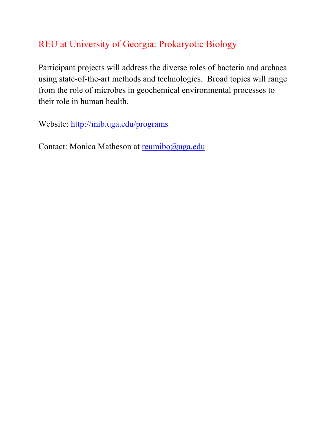# REU at University of Georgia: Prokaryotic Biology

Participant projects will address the diverse roles of bacteria and archaea using state-of-the-art methods and technologies. Broad topics will range from the role of microbes in geochemical environmental processes to their role in human health.

Website: http://mib.uga.edu/programs

Contact: Monica Matheson at reumibo@uga.edu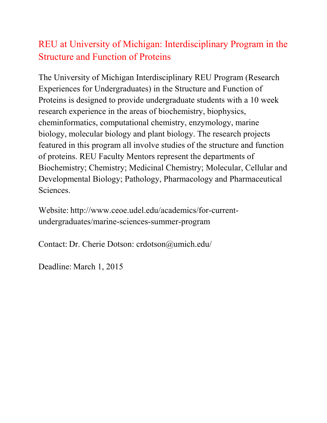# REU at University of Michigan: Interdisciplinary Program in the Structure and Function of Proteins

The University of Michigan Interdisciplinary REU Program (Research Experiences for Undergraduates) in the Structure and Function of Proteins is designed to provide undergraduate students with a 10 week research experience in the areas of biochemistry, biophysics, cheminformatics, computational chemistry, enzymology, marine biology, molecular biology and plant biology. The research projects featured in this program all involve studies of the structure and function of proteins. REU Faculty Mentors represent the departments of Biochemistry; Chemistry; Medicinal Chemistry; Molecular, Cellular and Developmental Biology; Pathology, Pharmacology and Pharmaceutical Sciences.

Website: http://www.ceoe.udel.edu/academics/for-currentundergraduates/marine-sciences-summer-program

Contact: Dr. Cherie Dotson: crdotson@umich.edu/

Deadline: March 1, 2015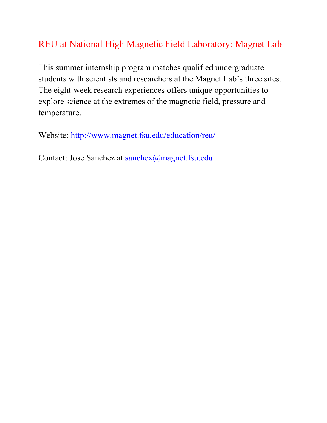## REU at National High Magnetic Field Laboratory: Magnet Lab

This summer internship program matches qualified undergraduate students with scientists and researchers at the Magnet Lab's three sites. The eight-week research experiences offers unique opportunities to explore science at the extremes of the magnetic field, pressure and temperature.

Website: http://www.magnet.fsu.edu/education/reu/

Contact: Jose Sanchez at sanchex@magnet.fsu.edu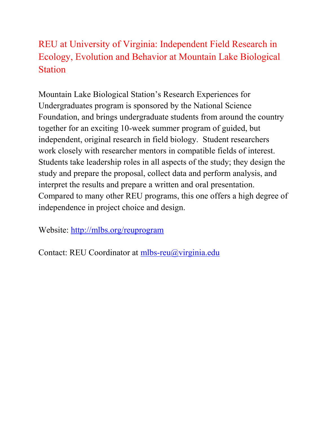# REU at University of Virginia: Independent Field Research in Ecology, Evolution and Behavior at Mountain Lake Biological **Station**

Mountain Lake Biological Station's Research Experiences for Undergraduates program is sponsored by the National Science Foundation, and brings undergraduate students from around the country together for an exciting 10-week summer program of guided, but independent, original research in field biology. Student researchers work closely with researcher mentors in compatible fields of interest. Students take leadership roles in all aspects of the study; they design the study and prepare the proposal, collect data and perform analysis, and interpret the results and prepare a written and oral presentation. Compared to many other REU programs, this one offers a high degree of independence in project choice and design.

Website: http://mlbs.org/reuprogram

Contact: REU Coordinator at mlbs-reu@virginia.edu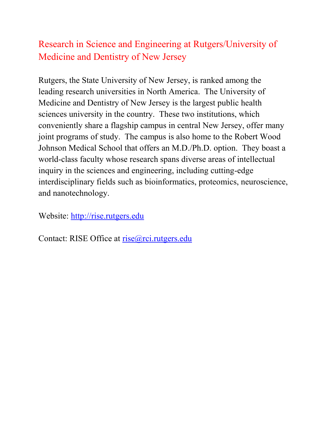## Research in Science and Engineering at Rutgers/University of Medicine and Dentistry of New Jersey

Rutgers, the State University of New Jersey, is ranked among the leading research universities in North America. The University of Medicine and Dentistry of New Jersey is the largest public health sciences university in the country. These two institutions, which conveniently share a flagship campus in central New Jersey, offer many joint programs of study. The campus is also home to the Robert Wood Johnson Medical School that offers an M.D./Ph.D. option. They boast a world-class faculty whose research spans diverse areas of intellectual inquiry in the sciences and engineering, including cutting-edge interdisciplinary fields such as bioinformatics, proteomics, neuroscience, and nanotechnology.

Website: http://rise.rutgers.edu

Contact: RISE Office at rise@rci.rutgers.edu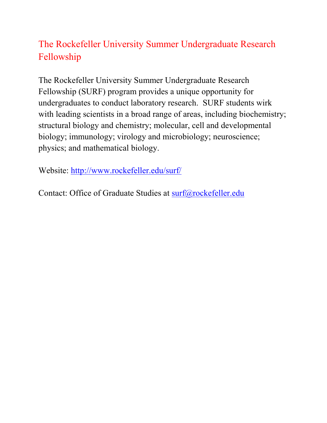# The Rockefeller University Summer Undergraduate Research Fellowship

The Rockefeller University Summer Undergraduate Research Fellowship (SURF) program provides a unique opportunity for undergraduates to conduct laboratory research. SURF students wirk with leading scientists in a broad range of areas, including biochemistry; structural biology and chemistry; molecular, cell and developmental biology; immunology; virology and microbiology; neuroscience; physics; and mathematical biology.

Website: http://www.rockefeller.edu/surf/

Contact: Office of Graduate Studies at surf@rockefeller.edu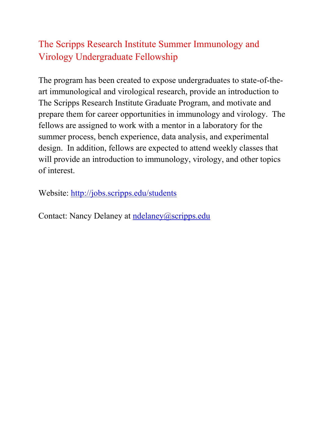# The Scripps Research Institute Summer Immunology and Virology Undergraduate Fellowship

The program has been created to expose undergraduates to state-of-theart immunological and virological research, provide an introduction to The Scripps Research Institute Graduate Program, and motivate and prepare them for career opportunities in immunology and virology. The fellows are assigned to work with a mentor in a laboratory for the summer process, bench experience, data analysis, and experimental design. In addition, fellows are expected to attend weekly classes that will provide an introduction to immunology, virology, and other topics of interest.

Website: http://jobs.scripps.edu/students

Contact: Nancy Delaney at ndelaney@scripps.edu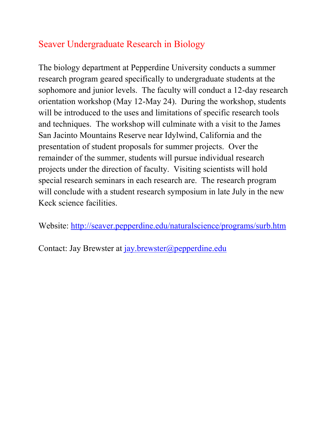## Seaver Undergraduate Research in Biology

The biology department at Pepperdine University conducts a summer research program geared specifically to undergraduate students at the sophomore and junior levels. The faculty will conduct a 12-day research orientation workshop (May 12-May 24). During the workshop, students will be introduced to the uses and limitations of specific research tools and techniques. The workshop will culminate with a visit to the James San Jacinto Mountains Reserve near Idylwind, California and the presentation of student proposals for summer projects. Over the remainder of the summer, students will pursue individual research projects under the direction of faculty. Visiting scientists will hold special research seminars in each research are. The research program will conclude with a student research symposium in late July in the new Keck science facilities.

Website: http://seaver.pepperdine.edu/naturalscience/programs/surb.htm

Contact: Jay Brewster at jay.brewster@pepperdine.edu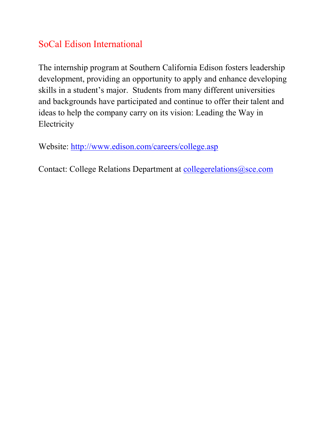# SoCal Edison International

The internship program at Southern California Edison fosters leadership development, providing an opportunity to apply and enhance developing skills in a student's major. Students from many different universities and backgrounds have participated and continue to offer their talent and ideas to help the company carry on its vision: Leading the Way in Electricity

Website: http://www.edison.com/careers/college.asp

Contact: College Relations Department at collegerelations@sce.com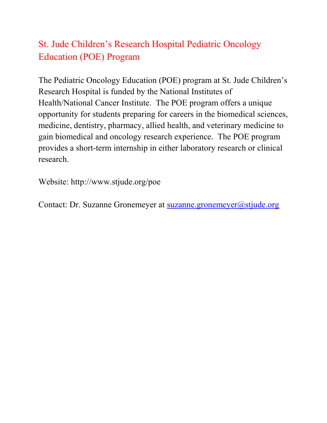# St. Jude Children's Research Hospital Pediatric Oncology Education (POE) Program

The Pediatric Oncology Education (POE) program at St. Jude Children's Research Hospital is funded by the National Institutes of Health/National Cancer Institute. The POE program offers a unique opportunity for students preparing for careers in the biomedical sciences, medicine, dentistry, pharmacy, allied health, and veterinary medicine to gain biomedical and oncology research experience. The POE program provides a short-term internship in either laboratory research or clinical research.

Website: http://www.stjude.org/poe

Contact: Dr. Suzanne Gronemeyer at suzanne.gronemeyer@stjude.org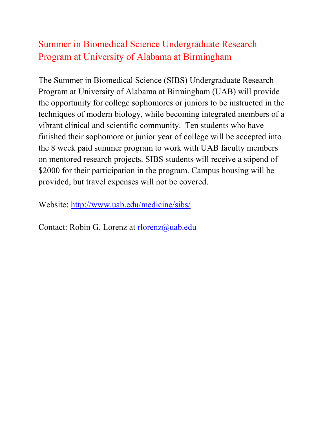## Summer in Biomedical Science Undergraduate Research Program at University of Alabama at Birmingham

The Summer in Biomedical Science (SIBS) Undergraduate Research Program at University of Alabama at Birmingham (UAB) will provide the opportunity for college sophomores or juniors to be instructed in the techniques of modern biology, while becoming integrated members of a vibrant clinical and scientific community. Ten students who have finished their sophomore or junior year of college will be accepted into the 8 week paid summer program to work with UAB faculty members on mentored research projects. SIBS students will receive a stipend of \$2000 for their participation in the program. Campus housing will be provided, but travel expenses will not be covered.

Website: http://www.uab.edu/medicine/sibs/

Contact: Robin G. Lorenz at rlorenz@uab.edu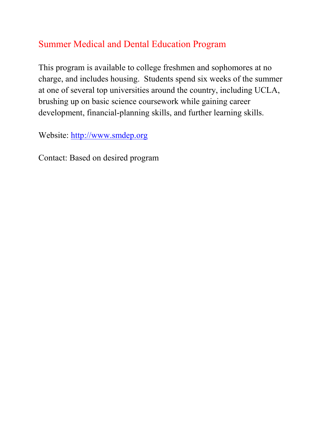## Summer Medical and Dental Education Program

This program is available to college freshmen and sophomores at no charge, and includes housing. Students spend six weeks of the summer at one of several top universities around the country, including UCLA, brushing up on basic science coursework while gaining career development, financial-planning skills, and further learning skills.

Website: http://www.smdep.org

Contact: Based on desired program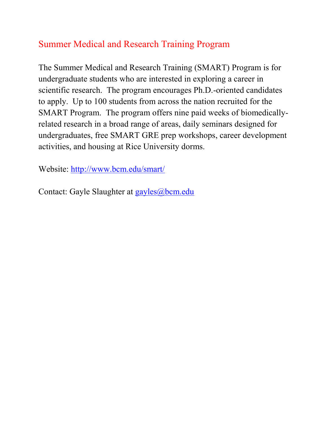# Summer Medical and Research Training Program

The Summer Medical and Research Training (SMART) Program is for undergraduate students who are interested in exploring a career in scientific research. The program encourages Ph.D.-oriented candidates to apply. Up to 100 students from across the nation recruited for the SMART Program. The program offers nine paid weeks of biomedicallyrelated research in a broad range of areas, daily seminars designed for undergraduates, free SMART GRE prep workshops, career development activities, and housing at Rice University dorms.

Website: http://www.bcm.edu/smart/

Contact: Gayle Slaughter at gayles@bcm.edu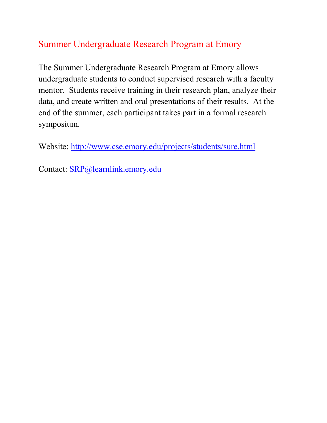# Summer Undergraduate Research Program at Emory

The Summer Undergraduate Research Program at Emory allows undergraduate students to conduct supervised research with a faculty mentor. Students receive training in their research plan, analyze their data, and create written and oral presentations of their results. At the end of the summer, each participant takes part in a formal research symposium.

Website: http://www.cse.emory.edu/projects/students/sure.html

Contact: SRP@learnlink.emory.edu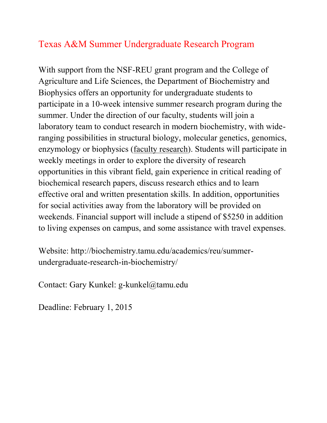#### Texas A&M Summer Undergraduate Research Program

With support from the NSF-REU grant program and the College of Agriculture and Life Sciences, the Department of Biochemistry and Biophysics offers an opportunity for undergraduate students to participate in a 10-week intensive summer research program during the summer. Under the direction of our faculty, students will join a laboratory team to conduct research in modern biochemistry, with wideranging possibilities in structural biology, molecular genetics, genomics, enzymology or biophysics (faculty research). Students will participate in weekly meetings in order to explore the diversity of research opportunities in this vibrant field, gain experience in critical reading of biochemical research papers, discuss research ethics and to learn effective oral and written presentation skills. In addition, opportunities for social activities away from the laboratory will be provided on weekends. Financial support will include a stipend of \$5250 in addition to living expenses on campus, and some assistance with travel expenses.

Website: http://biochemistry.tamu.edu/academics/reu/summerundergraduate-research-in-biochemistry/

Contact: Gary Kunkel: g-kunkel@tamu.edu

Deadline: February 1, 2015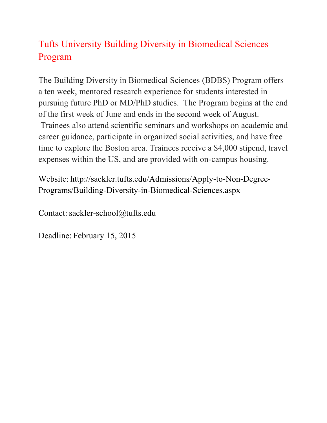# Tufts University Building Diversity in Biomedical Sciences Program

The Building Diversity in Biomedical Sciences (BDBS) Program offers a ten week, mentored research experience for students interested in pursuing future PhD or MD/PhD studies. The Program begins at the end of the first week of June and ends in the second week of August.

Trainees also attend scientific seminars and workshops on academic and career guidance, participate in organized social activities, and have free time to explore the Boston area. Trainees receive a \$4,000 stipend, travel expenses within the US, and are provided with on-campus housing.

Website: http://sackler.tufts.edu/Admissions/Apply-to-Non-Degree-Programs/Building-Diversity-in-Biomedical-Sciences.aspx

Contact: sackler-school@tufts.edu

Deadline: February 15, 2015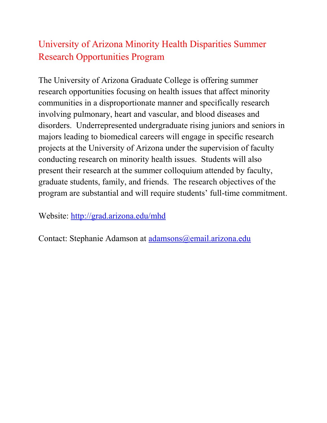## University of Arizona Minority Health Disparities Summer Research Opportunities Program

The University of Arizona Graduate College is offering summer research opportunities focusing on health issues that affect minority communities in a disproportionate manner and specifically research involving pulmonary, heart and vascular, and blood diseases and disorders. Underrepresented undergraduate rising juniors and seniors in majors leading to biomedical careers will engage in specific research projects at the University of Arizona under the supervision of faculty conducting research on minority health issues. Students will also present their research at the summer colloquium attended by faculty, graduate students, family, and friends. The research objectives of the program are substantial and will require students' full-time commitment.

Website: http://grad.arizona.edu/mhd

Contact: Stephanie Adamson at adamsons@email.arizona.edu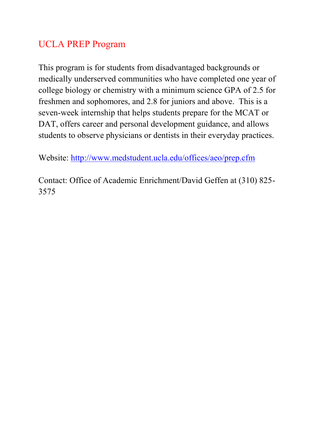## UCLA PREP Program

This program is for students from disadvantaged backgrounds or medically underserved communities who have completed one year of college biology or chemistry with a minimum science GPA of 2.5 for freshmen and sophomores, and 2.8 for juniors and above. This is a seven-week internship that helps students prepare for the MCAT or DAT, offers career and personal development guidance, and allows students to observe physicians or dentists in their everyday practices.

Website: http://www.medstudent.ucla.edu/offices/aeo/prep.cfm

Contact: Office of Academic Enrichment/David Geffen at (310) 825- 3575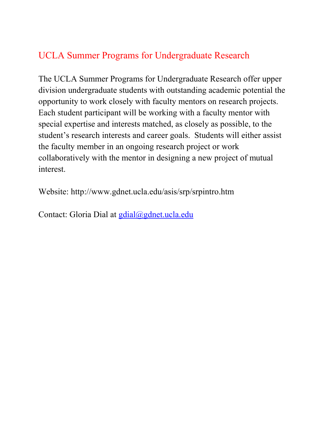#### UCLA Summer Programs for Undergraduate Research

The UCLA Summer Programs for Undergraduate Research offer upper division undergraduate students with outstanding academic potential the opportunity to work closely with faculty mentors on research projects. Each student participant will be working with a faculty mentor with special expertise and interests matched, as closely as possible, to the student's research interests and career goals. Students will either assist the faculty member in an ongoing research project or work collaboratively with the mentor in designing a new project of mutual interest.

Website: http://www.gdnet.ucla.edu/asis/srp/srpintro.htm

Contact: Gloria Dial at gdial@gdnet.ucla.edu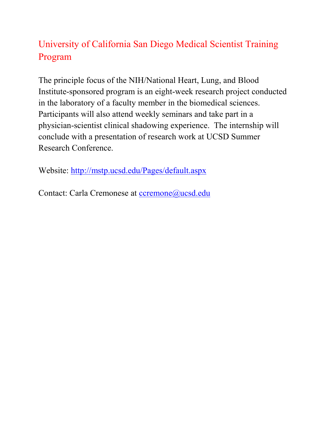# University of California San Diego Medical Scientist Training Program

The principle focus of the NIH/National Heart, Lung, and Blood Institute-sponsored program is an eight-week research project conducted in the laboratory of a faculty member in the biomedical sciences. Participants will also attend weekly seminars and take part in a physician-scientist clinical shadowing experience. The internship will conclude with a presentation of research work at UCSD Summer Research Conference.

Website: http://mstp.ucsd.edu/Pages/default.aspx

Contact: Carla Cremonese at ccremone@ucsd.edu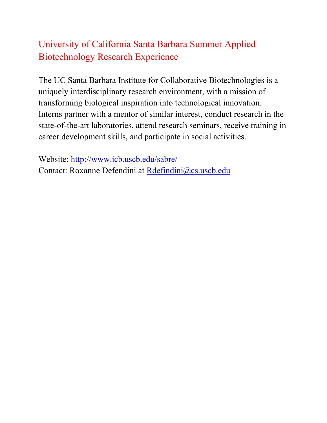# University of California Santa Barbara Summer Applied Biotechnology Research Experience

The UC Santa Barbara Institute for Collaborative Biotechnologies is a uniquely interdisciplinary research environment, with a mission of transforming biological inspiration into technological innovation. Interns partner with a mentor of similar interest, conduct research in the state-of-the-art laboratories, attend research seminars, receive training in career development skills, and participate in social activities.

Website: http://www.icb.uscb.edu/sabre/ Contact: Roxanne Defendini at Rdefindini@cs.uscb.edu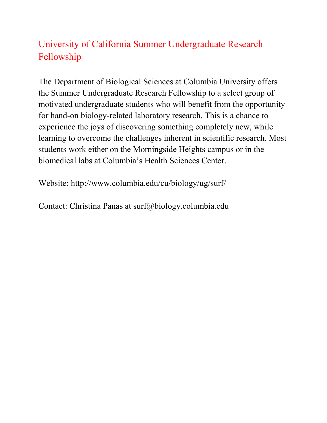# University of California Summer Undergraduate Research Fellowship

The Department of Biological Sciences at Columbia University offers the Summer Undergraduate Research Fellowship to a select group of motivated undergraduate students who will benefit from the opportunity for hand-on biology-related laboratory research. This is a chance to experience the joys of discovering something completely new, while learning to overcome the challenges inherent in scientific research. Most students work either on the Morningside Heights campus or in the biomedical labs at Columbia's Health Sciences Center.

Website: http://www.columbia.edu/cu/biology/ug/surf/

Contact: Christina Panas at surf@biology.columbia.edu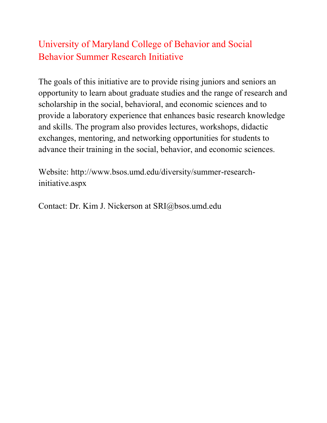# University of Maryland College of Behavior and Social Behavior Summer Research Initiative

The goals of this initiative are to provide rising juniors and seniors an opportunity to learn about graduate studies and the range of research and scholarship in the social, behavioral, and economic sciences and to provide a laboratory experience that enhances basic research knowledge and skills. The program also provides lectures, workshops, didactic exchanges, mentoring, and networking opportunities for students to advance their training in the social, behavior, and economic sciences.

Website: http://www.bsos.umd.edu/diversity/summer-researchinitiative.aspx

Contact: Dr. Kim J. Nickerson at SRI@bsos.umd.edu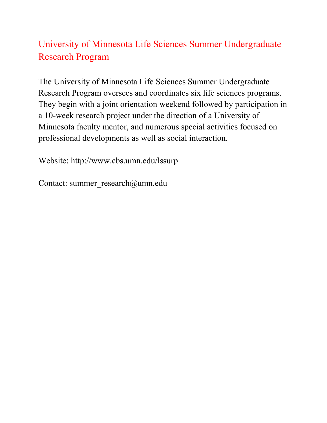# University of Minnesota Life Sciences Summer Undergraduate Research Program

The University of Minnesota Life Sciences Summer Undergraduate Research Program oversees and coordinates six life sciences programs. They begin with a joint orientation weekend followed by participation in a 10-week research project under the direction of a University of Minnesota faculty mentor, and numerous special activities focused on professional developments as well as social interaction.

Website: http://www.cbs.umn.edu/lssurp

Contact: summer\_research@umn.edu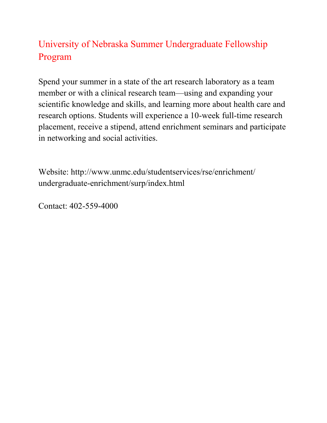# University of Nebraska Summer Undergraduate Fellowship Program

Spend your summer in a state of the art research laboratory as a team member or with a clinical research team—using and expanding your scientific knowledge and skills, and learning more about health care and research options. Students will experience a 10-week full-time research placement, receive a stipend, attend enrichment seminars and participate in networking and social activities.

Website: http://www.unmc.edu/studentservices/rse/enrichment/ undergraduate-enrichment/surp/index.html

Contact: 402-559-4000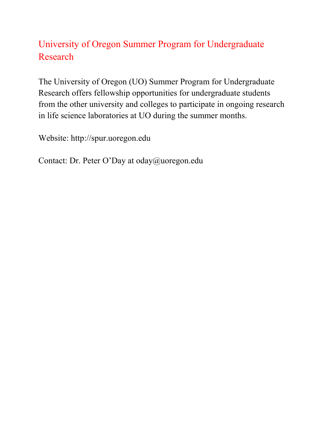# University of Oregon Summer Program for Undergraduate Research

The University of Oregon (UO) Summer Program for Undergraduate Research offers fellowship opportunities for undergraduate students from the other university and colleges to participate in ongoing research in life science laboratories at UO during the summer months.

Website: http://spur.uoregon.edu

Contact: Dr. Peter O'Day at oday@uoregon.edu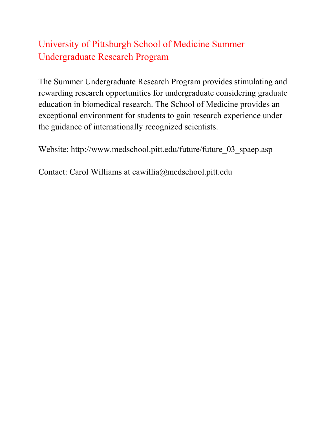# University of Pittsburgh School of Medicine Summer Undergraduate Research Program

The Summer Undergraduate Research Program provides stimulating and rewarding research opportunities for undergraduate considering graduate education in biomedical research. The School of Medicine provides an exceptional environment for students to gain research experience under the guidance of internationally recognized scientists.

Website: http://www.medschool.pitt.edu/future/future\_03\_spaep.asp

Contact: Carol Williams at cawillia@medschool.pitt.edu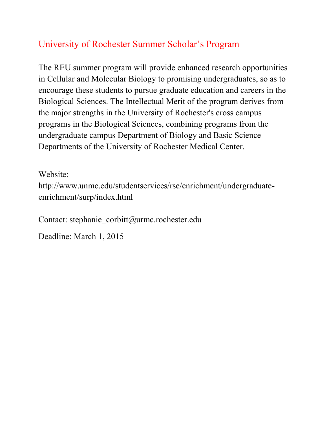# University of Rochester Summer Scholar's Program

The REU summer program will provide enhanced research opportunities in Cellular and Molecular Biology to promising undergraduates, so as to encourage these students to pursue graduate education and careers in the Biological Sciences. The Intellectual Merit of the program derives from the major strengths in the University of Rochester's cross campus programs in the Biological Sciences, combining programs from the undergraduate campus Department of Biology and Basic Science Departments of the University of Rochester Medical Center.

Website:

http://www.unmc.edu/studentservices/rse/enrichment/undergraduateenrichment/surp/index.html

Contact: stephanie\_corbitt@urmc.rochester.edu

Deadline: March 1, 2015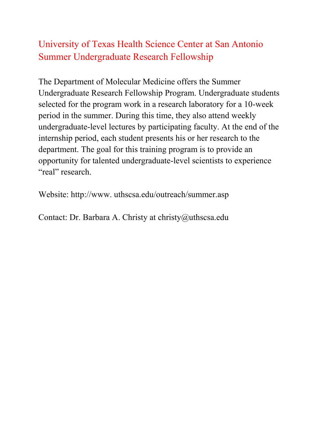## University of Texas Health Science Center at San Antonio Summer Undergraduate Research Fellowship

The Department of Molecular Medicine offers the Summer Undergraduate Research Fellowship Program. Undergraduate students selected for the program work in a research laboratory for a 10-week period in the summer. During this time, they also attend weekly undergraduate-level lectures by participating faculty. At the end of the internship period, each student presents his or her research to the department. The goal for this training program is to provide an opportunity for talented undergraduate-level scientists to experience "real" research.

Website: http://www. uthscsa.edu/outreach/summer.asp

Contact: Dr. Barbara A. Christy at christy@uthscsa.edu